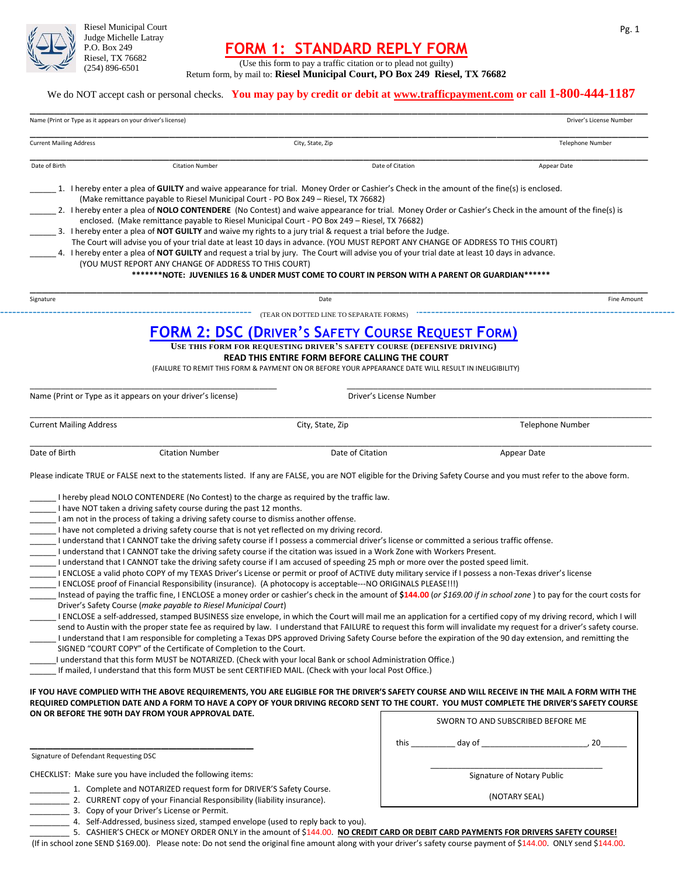

Riesel Municipal Court Judge Michelle Latray P.O. Box 249 Riesel, TX 76682 (254) 896-6501

## **FORM 1: STANDARD REPLY FORM**

(Use this form to pay a traffic citation or to plead not guilty) Return form, by mail to: **Riesel Municipal Court, PO Box 249 Riesel, TX 76682**

#### We do NOT accept cash or personal checks. **You may pay by credit or debit at [www.trafficpayment.com](http://www.trafficpayment.com/) or call 1-800-444-1187**

| Name (Print or Type as it appears on your driver's license) |                                                                                                                                                                                                                                                                                     |                                                                                                                                                                                                                                                                                                                                                                                                                                                                                                                                                                                                                                                                                           |                                                                                                                                                                                                                                                                                                                                                                                                                                                                                                                                                                                                                                                                                        |
|-------------------------------------------------------------|-------------------------------------------------------------------------------------------------------------------------------------------------------------------------------------------------------------------------------------------------------------------------------------|-------------------------------------------------------------------------------------------------------------------------------------------------------------------------------------------------------------------------------------------------------------------------------------------------------------------------------------------------------------------------------------------------------------------------------------------------------------------------------------------------------------------------------------------------------------------------------------------------------------------------------------------------------------------------------------------|----------------------------------------------------------------------------------------------------------------------------------------------------------------------------------------------------------------------------------------------------------------------------------------------------------------------------------------------------------------------------------------------------------------------------------------------------------------------------------------------------------------------------------------------------------------------------------------------------------------------------------------------------------------------------------------|
| <b>Current Mailing Address</b>                              |                                                                                                                                                                                                                                                                                     | City, State, Zip                                                                                                                                                                                                                                                                                                                                                                                                                                                                                                                                                                                                                                                                          | <b>Telephone Number</b>                                                                                                                                                                                                                                                                                                                                                                                                                                                                                                                                                                                                                                                                |
| Date of Birth                                               | <b>Citation Number</b>                                                                                                                                                                                                                                                              | Date of Citation                                                                                                                                                                                                                                                                                                                                                                                                                                                                                                                                                                                                                                                                          | Appear Date                                                                                                                                                                                                                                                                                                                                                                                                                                                                                                                                                                                                                                                                            |
|                                                             | (Make remittance payable to Riesel Municipal Court - PO Box 249 - Riesel, TX 76682)                                                                                                                                                                                                 | 1. I hereby enter a plea of GUILTY and waive appearance for trial. Money Order or Cashier's Check in the amount of the fine(s) is enclosed.                                                                                                                                                                                                                                                                                                                                                                                                                                                                                                                                               |                                                                                                                                                                                                                                                                                                                                                                                                                                                                                                                                                                                                                                                                                        |
|                                                             |                                                                                                                                                                                                                                                                                     | enclosed. (Make remittance payable to Riesel Municipal Court - PO Box 249 - Riesel, TX 76682)                                                                                                                                                                                                                                                                                                                                                                                                                                                                                                                                                                                             | 2. I hereby enter a plea of NOLO CONTENDERE (No Contest) and waive appearance for trial. Money Order or Cashier's Check in the amount of the fine(s) is                                                                                                                                                                                                                                                                                                                                                                                                                                                                                                                                |
|                                                             |                                                                                                                                                                                                                                                                                     | 3. I hereby enter a plea of NOT GUILTY and waive my rights to a jury trial & request a trial before the Judge.<br>The Court will advise you of your trial date at least 10 days in advance. (YOU MUST REPORT ANY CHANGE OF ADDRESS TO THIS COURT)                                                                                                                                                                                                                                                                                                                                                                                                                                         |                                                                                                                                                                                                                                                                                                                                                                                                                                                                                                                                                                                                                                                                                        |
|                                                             |                                                                                                                                                                                                                                                                                     | 4. I hereby enter a plea of NOT GUILTY and request a trial by jury. The Court will advise you of your trial date at least 10 days in advance.                                                                                                                                                                                                                                                                                                                                                                                                                                                                                                                                             |                                                                                                                                                                                                                                                                                                                                                                                                                                                                                                                                                                                                                                                                                        |
|                                                             | (YOU MUST REPORT ANY CHANGE OF ADDRESS TO THIS COURT)                                                                                                                                                                                                                               |                                                                                                                                                                                                                                                                                                                                                                                                                                                                                                                                                                                                                                                                                           |                                                                                                                                                                                                                                                                                                                                                                                                                                                                                                                                                                                                                                                                                        |
|                                                             |                                                                                                                                                                                                                                                                                     | *******NOTE: JUVENILES 16 & UNDER MUST COME TO COURT IN PERSON WITH A PARENT OR GUARDIAN******                                                                                                                                                                                                                                                                                                                                                                                                                                                                                                                                                                                            |                                                                                                                                                                                                                                                                                                                                                                                                                                                                                                                                                                                                                                                                                        |
| Signature                                                   |                                                                                                                                                                                                                                                                                     | Date                                                                                                                                                                                                                                                                                                                                                                                                                                                                                                                                                                                                                                                                                      | <b>Fine Amount</b>                                                                                                                                                                                                                                                                                                                                                                                                                                                                                                                                                                                                                                                                     |
|                                                             |                                                                                                                                                                                                                                                                                     | (TEAR ON DOTTED LINE TO SEPARATE FORMS)                                                                                                                                                                                                                                                                                                                                                                                                                                                                                                                                                                                                                                                   |                                                                                                                                                                                                                                                                                                                                                                                                                                                                                                                                                                                                                                                                                        |
|                                                             |                                                                                                                                                                                                                                                                                     | <b>FORM 2: DSC (DRIVER'S SAFETY COURSE REQUEST FORM)</b>                                                                                                                                                                                                                                                                                                                                                                                                                                                                                                                                                                                                                                  |                                                                                                                                                                                                                                                                                                                                                                                                                                                                                                                                                                                                                                                                                        |
|                                                             |                                                                                                                                                                                                                                                                                     | USE THIS FORM FOR REQUESTING DRIVER'S SAFETY COURSE (DEFENSIVE DRIVING)                                                                                                                                                                                                                                                                                                                                                                                                                                                                                                                                                                                                                   |                                                                                                                                                                                                                                                                                                                                                                                                                                                                                                                                                                                                                                                                                        |
|                                                             |                                                                                                                                                                                                                                                                                     | READ THIS ENTIRE FORM BEFORE CALLING THE COURT<br>(FAILURE TO REMIT THIS FORM & PAYMENT ON OR BEFORE YOUR APPEARANCE DATE WILL RESULT IN INELIGIBILITY)                                                                                                                                                                                                                                                                                                                                                                                                                                                                                                                                   |                                                                                                                                                                                                                                                                                                                                                                                                                                                                                                                                                                                                                                                                                        |
|                                                             |                                                                                                                                                                                                                                                                                     |                                                                                                                                                                                                                                                                                                                                                                                                                                                                                                                                                                                                                                                                                           |                                                                                                                                                                                                                                                                                                                                                                                                                                                                                                                                                                                                                                                                                        |
| Name (Print or Type as it appears on your driver's license) |                                                                                                                                                                                                                                                                                     | Driver's License Number                                                                                                                                                                                                                                                                                                                                                                                                                                                                                                                                                                                                                                                                   |                                                                                                                                                                                                                                                                                                                                                                                                                                                                                                                                                                                                                                                                                        |
|                                                             |                                                                                                                                                                                                                                                                                     |                                                                                                                                                                                                                                                                                                                                                                                                                                                                                                                                                                                                                                                                                           |                                                                                                                                                                                                                                                                                                                                                                                                                                                                                                                                                                                                                                                                                        |
|                                                             |                                                                                                                                                                                                                                                                                     |                                                                                                                                                                                                                                                                                                                                                                                                                                                                                                                                                                                                                                                                                           |                                                                                                                                                                                                                                                                                                                                                                                                                                                                                                                                                                                                                                                                                        |
|                                                             |                                                                                                                                                                                                                                                                                     | City, State, Zip                                                                                                                                                                                                                                                                                                                                                                                                                                                                                                                                                                                                                                                                          | Telephone Number                                                                                                                                                                                                                                                                                                                                                                                                                                                                                                                                                                                                                                                                       |
|                                                             |                                                                                                                                                                                                                                                                                     |                                                                                                                                                                                                                                                                                                                                                                                                                                                                                                                                                                                                                                                                                           |                                                                                                                                                                                                                                                                                                                                                                                                                                                                                                                                                                                                                                                                                        |
|                                                             | <b>Citation Number</b><br>I hereby plead NOLO CONTENDERE (No Contest) to the charge as required by the traffic law.<br>I have NOT taken a driving safety course during the past 12 months.<br>I am not in the process of taking a driving safety course to dismiss another offense. | Date of Citation                                                                                                                                                                                                                                                                                                                                                                                                                                                                                                                                                                                                                                                                          | Appear Date<br>Please indicate TRUE or FALSE next to the statements listed. If any are FALSE, you are NOT eligible for the Driving Safety Course and you must refer to the above form.                                                                                                                                                                                                                                                                                                                                                                                                                                                                                                 |
| <b>Current Mailing Address</b><br>Date of Birth             | I have not completed a driving safety course that is not yet reflected on my driving record.<br>Driver's Safety Course (make payable to Riesel Municipal Court)<br>SIGNED "COURT COPY" of the Certificate of Completion to the Court.                                               | I understand that I CANNOT take the driving safety course if I possess a commercial driver's license or committed a serious traffic offense.<br>I understand that I CANNOT take the driving safety course if the citation was issued in a Work Zone with Workers Present.<br>I understand that I CANNOT take the driving safety course if I am accused of speeding 25 mph or more over the posted speed limit.<br>I ENCLOSE a valid photo COPY of my TEXAS Driver's License or permit or proof of ACTIVE duty military service if I possess a non-Texas driver's license<br>I ENCLOSE proof of Financial Responsibility (insurance). (A photocopy is acceptable---NO ORIGINALS PLEASE!!!) | Instead of paying the traffic fine, I ENCLOSE a money order or cashier's check in the amount of \$144.00 (or \$169.00 if in school zone) to pay for the court costs for<br>I ENCLOSE a self-addressed, stamped BUSINESS size envelope, in which the Court will mail me an application for a certified copy of my driving record, which I will<br>send to Austin with the proper state fee as required by law. I understand that FAILURE to request this form will invalidate my request for a driver's safety course.<br>I understand that I am responsible for completing a Texas DPS approved Driving Safety Course before the expiration of the 90 day extension, and remitting the |
|                                                             |                                                                                                                                                                                                                                                                                     | I understand that this form MUST be NOTARIZED. (Check with your local Bank or school Administration Office.)<br>If mailed, I understand that this form MUST be sent CERTIFIED MAIL. (Check with your local Post Office.)                                                                                                                                                                                                                                                                                                                                                                                                                                                                  |                                                                                                                                                                                                                                                                                                                                                                                                                                                                                                                                                                                                                                                                                        |
|                                                             |                                                                                                                                                                                                                                                                                     |                                                                                                                                                                                                                                                                                                                                                                                                                                                                                                                                                                                                                                                                                           |                                                                                                                                                                                                                                                                                                                                                                                                                                                                                                                                                                                                                                                                                        |
|                                                             |                                                                                                                                                                                                                                                                                     |                                                                                                                                                                                                                                                                                                                                                                                                                                                                                                                                                                                                                                                                                           | IF YOU HAVE COMPLIED WITH THE ABOVE REQUIREMENTS, YOU ARE ELIGIBLE FOR THE DRIVER'S SAFETY COURSE AND WILL RECEIVE IN THE MAIL A FORM WITH THE<br>REQUIRED COMPLETION DATE AND A FORM TO HAVE A COPY OF YOUR DRIVING RECORD SENT TO THE COURT. YOU MUST COMPLETE THE DRIVER'S SAFETY COURSE                                                                                                                                                                                                                                                                                                                                                                                            |
|                                                             | ON OR BEFORE THE 90TH DAY FROM YOUR APPROVAL DATE.                                                                                                                                                                                                                                  |                                                                                                                                                                                                                                                                                                                                                                                                                                                                                                                                                                                                                                                                                           | SWORN TO AND SUBSCRIBED BEFORE ME                                                                                                                                                                                                                                                                                                                                                                                                                                                                                                                                                                                                                                                      |
|                                                             |                                                                                                                                                                                                                                                                                     |                                                                                                                                                                                                                                                                                                                                                                                                                                                                                                                                                                                                                                                                                           |                                                                                                                                                                                                                                                                                                                                                                                                                                                                                                                                                                                                                                                                                        |
| Signature of Defendant Requesting DSC                       |                                                                                                                                                                                                                                                                                     |                                                                                                                                                                                                                                                                                                                                                                                                                                                                                                                                                                                                                                                                                           |                                                                                                                                                                                                                                                                                                                                                                                                                                                                                                                                                                                                                                                                                        |
|                                                             |                                                                                                                                                                                                                                                                                     |                                                                                                                                                                                                                                                                                                                                                                                                                                                                                                                                                                                                                                                                                           |                                                                                                                                                                                                                                                                                                                                                                                                                                                                                                                                                                                                                                                                                        |
|                                                             | CHECKLIST: Make sure you have included the following items:<br>1. Complete and NOTARIZED request form for DRIVER'S Safety Course.                                                                                                                                                   |                                                                                                                                                                                                                                                                                                                                                                                                                                                                                                                                                                                                                                                                                           | Signature of Notary Public                                                                                                                                                                                                                                                                                                                                                                                                                                                                                                                                                                                                                                                             |

\_\_\_\_\_\_\_\_\_ 5. CASHIER'S CHECK or MONEY ORDER ONLY in the amount of \$144.00. **NO CREDIT CARD OR DEBIT CARD PAYMENTS FOR DRIVERS SAFETY COURSE!**

(If in school zone SEND \$169.00). Please note: Do not send the original fine amount along with your driver's safety course payment of \$144.00. ONLY send \$144.00.